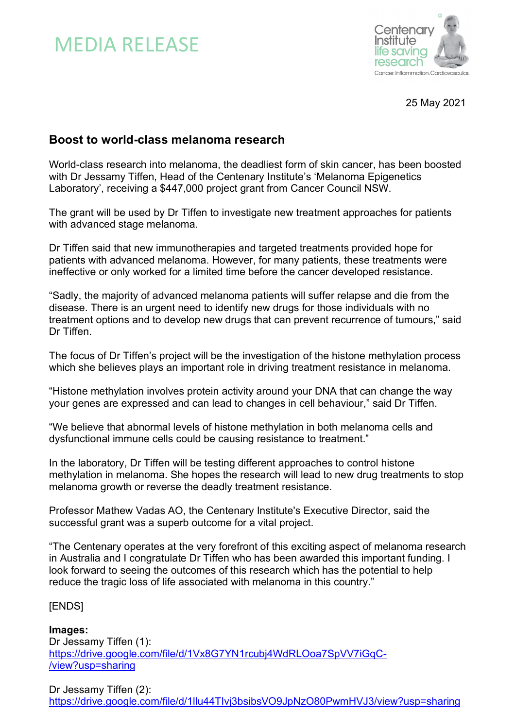# MEDIA RELEASE



25 May 2021

# **Boost to world-class melanoma research**

World-class research into melanoma, the deadliest form of skin cancer, has been boosted with Dr Jessamy Tiffen, Head of the Centenary Institute's 'Melanoma Epigenetics Laboratory', receiving a \$447,000 project grant from Cancer Council NSW.

The grant will be used by Dr Tiffen to investigate new treatment approaches for patients with advanced stage melanoma.

Dr Tiffen said that new immunotherapies and targeted treatments provided hope for patients with advanced melanoma. However, for many patients, these treatments were ineffective or only worked for a limited time before the cancer developed resistance.

"Sadly, the majority of advanced melanoma patients will suffer relapse and die from the disease. There is an urgent need to identify new drugs for those individuals with no treatment options and to develop new drugs that can prevent recurrence of tumours," said Dr Tiffen.

The focus of Dr Tiffen's project will be the investigation of the histone methylation process which she believes plays an important role in driving treatment resistance in melanoma.

"Histone methylation involves protein activity around your DNA that can change the way your genes are expressed and can lead to changes in cell behaviour," said Dr Tiffen.

"We believe that abnormal levels of histone methylation in both melanoma cells and dysfunctional immune cells could be causing resistance to treatment."

In the laboratory, Dr Tiffen will be testing different approaches to control histone methylation in melanoma. She hopes the research will lead to new drug treatments to stop melanoma growth or reverse the deadly treatment resistance.

Professor Mathew Vadas AO, the Centenary Institute's Executive Director, said the successful grant was a superb outcome for a vital project.

"The Centenary operates at the very forefront of this exciting aspect of melanoma research in Australia and I congratulate Dr Tiffen who has been awarded this important funding. I look forward to seeing the outcomes of this research which has the potential to help reduce the tragic loss of life associated with melanoma in this country."

### [ENDS]

**Images:** Dr Jessamy Tiffen (1): https://drive.google.com/file/d/1Vx8G7YN1rcubj4WdRLOoa7SpVV7iGqC- /view?usp=sharing

Dr Jessamy Tiffen (2): https://drive.google.com/file/d/1llu44TIvj3bsibsVO9JpNzO80PwmHVJ3/view?usp=sharing